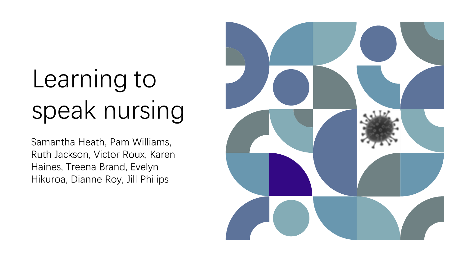# Learning to speak nursing

Samantha Heath, Pam Williams, Ruth Jackson, Victor Roux, Karen Haines, Treena Brand, Evelyn Hikuroa, Dianne Roy, Jill Philips

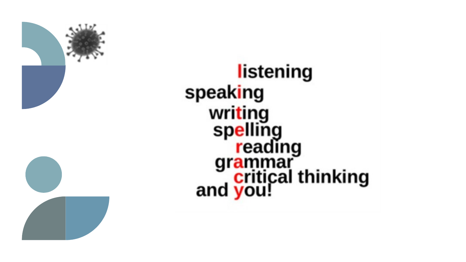

# listening speaking writing<br>spelling<br>reading<br>grammar<br>critical thinking<br>and you!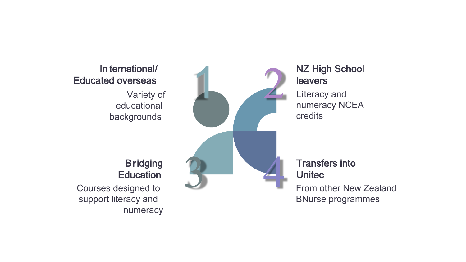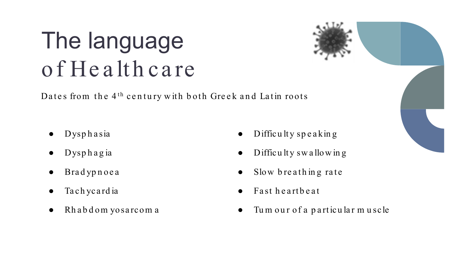#### The language of Health care

Dates from the  $4<sup>th</sup>$  century with both Greek and Latin roots

- Dysp h a sia
- $D$ ysphagia
- **Bradypnoea**
- Ta ch y card ia
- Rh ab d om yosarcom a
- $Difficuity$  speaking
- Difficulty swallowing
- Slow breathing rate
- Fast heartbeat
- Tum our of a particular muscle

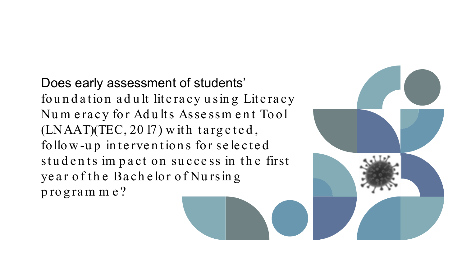Does early assessment of students' foundation adult literacy using Literacy Num eracy for Adults Assessm ent Tool  $(LNAAT)(TEC, 2017)$  with targeted, follow-up in terventions for selected students impact on success in the first year of the Bachelor of Nursing program m e?

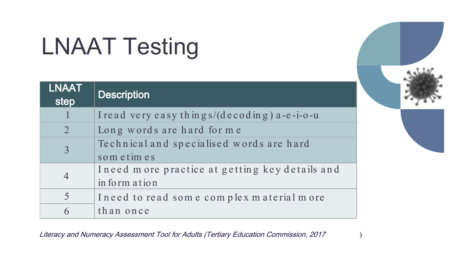## LNAAT Testing

| <b>LNAAT</b><br>step     | <b>Description</b>                              |
|--------------------------|-------------------------------------------------|
|                          | I read very easy things/ $(decoding)$ a-e-i-o-u |
| $\overline{2}$           | Long words are hard for me                      |
| $\overline{3}$           | Technical and specialised words are hard        |
|                          | som et im es                                    |
| $\overline{4}$           | Ineed more practice at getting key details and  |
|                          | in form ation                                   |
| $\overline{\mathcal{L}}$ | Ineed to read some complex material more        |
| 6                        | than once                                       |

Literacy and Numeracy Assessment Tool for Adults (Tertiary Education Commission, 2017 )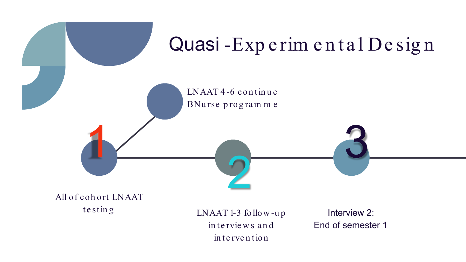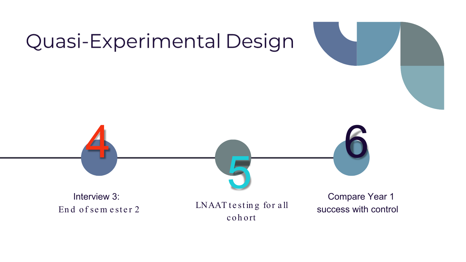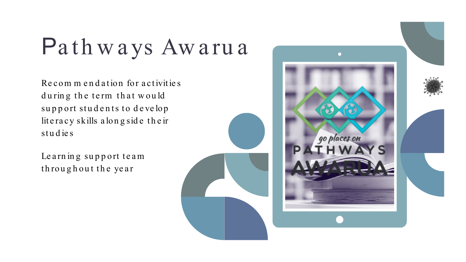## Pathways Awarua

Recommendation for activities during the term that would support students to develop lit e racy skills along side their studies

Le arning support team th rou g h ou t th e year

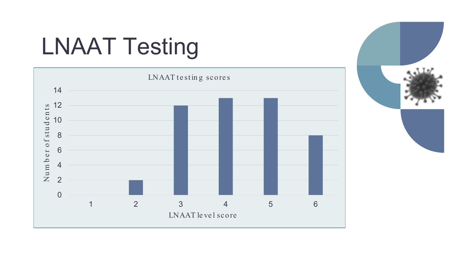## LNAAT Testing



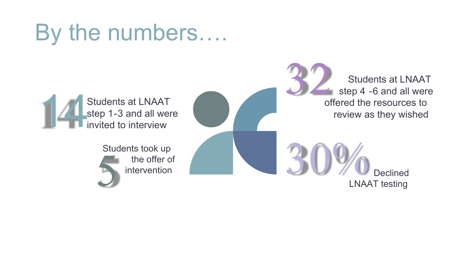#### By the numbers….



Students at LNAAT step 4 -6 and all were offered the resources to review as they wished

LNAAT testing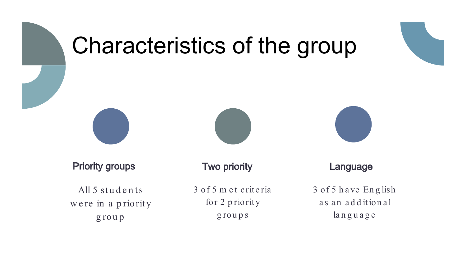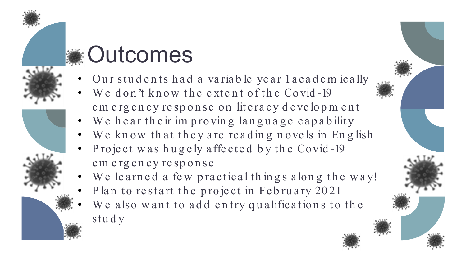#### **SEXED OUTCOMES**

- 
- 
- Our students had a variable year lacadem ically We don't know the extent of the Covid-19 em ergency response on literacy development
- We hear their improving language capability
- We know that they are reading novels in English
- Project was hugely affected by the Covid-19 em erg en cy resp on se
- We learned a few practical things along the way!
- Plan to restart the project in February 2021
- We also want to add entry qualifications to the stu d y

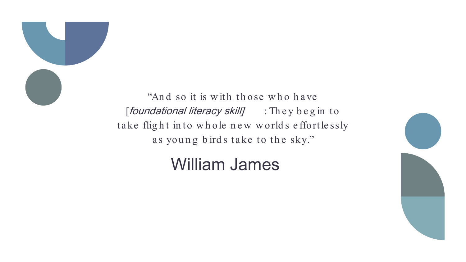

"And so it is with those who have [foundational literacy skill] : They begin to take flight into whole new worlds effortlessly as young birds take to the sky."

#### William James

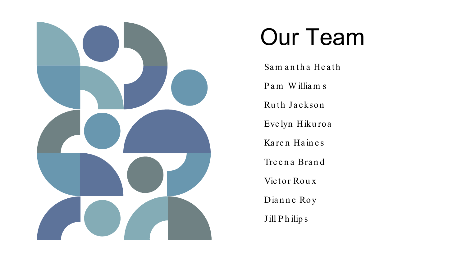

#### Our Team

Sam antha Heath

P a m W illia m s

Ruth Jackson

Eve lyn Hiku roa

Karen Haines

Tre en a Brand

Victor Roux

Dianne Roy

Jill P h ilip s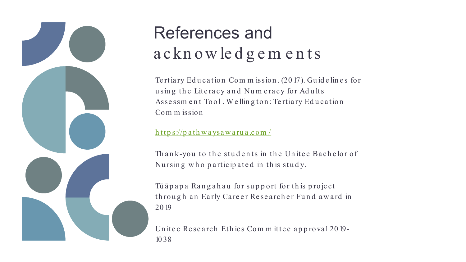

#### References and a ckn ow ledgements

Te rtiary Education Commission. (2017). Guidelines for using the Literacy and Numeracy for Adults Assessm ent Tool. Welling ton: Tertiary Education Com m ission

https://pathwaysawarua.com/

Th ank-you to the students in the Unitec Bachelor of Nursing who participated in this study.

Tū ā p a p a Rang a h a u for support for this project through an Early Career Researcher Fund award in 20 19

Unite c Research Ethics Committee approval 2019-10 38